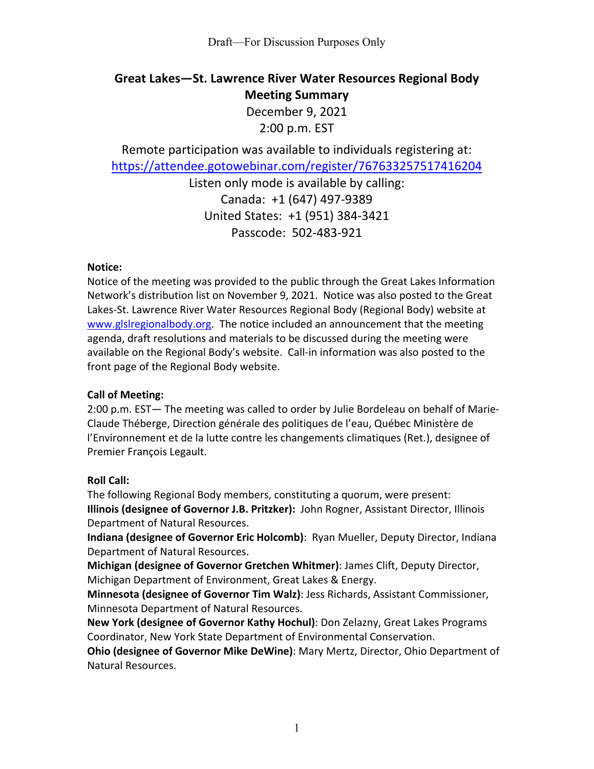# **Great Lakes—St. Lawrence River Water Resources Regional Body Meeting Summary**

December 9, 2021 2:00 p.m. EST

Remote participation was available to individuals registering at: <https://attendee.gotowebinar.com/register/767633257517416204>

> Listen only mode is available by calling: Canada: +1 (647) 497-9389 United States: +1 (951) 384-3421 Passcode: 502-483-921

#### **Notice:**

Notice of the meeting was provided to the public through the Great Lakes Information Network's distribution list on November 9, 2021. Notice was also posted to the Great Lakes-St. Lawrence River Water Resources Regional Body (Regional Body) website at [www.glslregionalbody.org.](http://www.glslregionalbody.org/) The notice included an announcement that the meeting agenda, draft resolutions and materials to be discussed during the meeting were available on the Regional Body's website. Call-in information was also posted to the front page of the Regional Body website.

## **Call of Meeting:**

2:00 p.m. EST— The meeting was called to order by Julie Bordeleau on behalf of Marie-Claude Théberge, Direction générale des politiques de l'eau, Québec Ministère de l'Environnement et de la lutte contre les changements climatiques (Ret.), designee of Premier François Legault.

## **Roll Call:**

The following Regional Body members, constituting a quorum, were present: **Illinois (designee of Governor J.B. Pritzker):** John Rogner, Assistant Director, Illinois Department of Natural Resources.

**Indiana (designee of Governor Eric Holcomb)**: Ryan Mueller, Deputy Director, Indiana Department of Natural Resources.

**Michigan (designee of Governor Gretchen Whitmer)**: James Clift, Deputy Director, Michigan Department of Environment, Great Lakes & Energy.

**Minnesota (designee of Governor Tim Walz)**: Jess Richards, Assistant Commissioner, Minnesota Department of Natural Resources.

**New York (designee of Governor Kathy Hochul)**: Don Zelazny, Great Lakes Programs Coordinator, New York State Department of Environmental Conservation.

**Ohio (designee of Governor Mike DeWine)**: Mary Mertz, Director, Ohio Department of Natural Resources.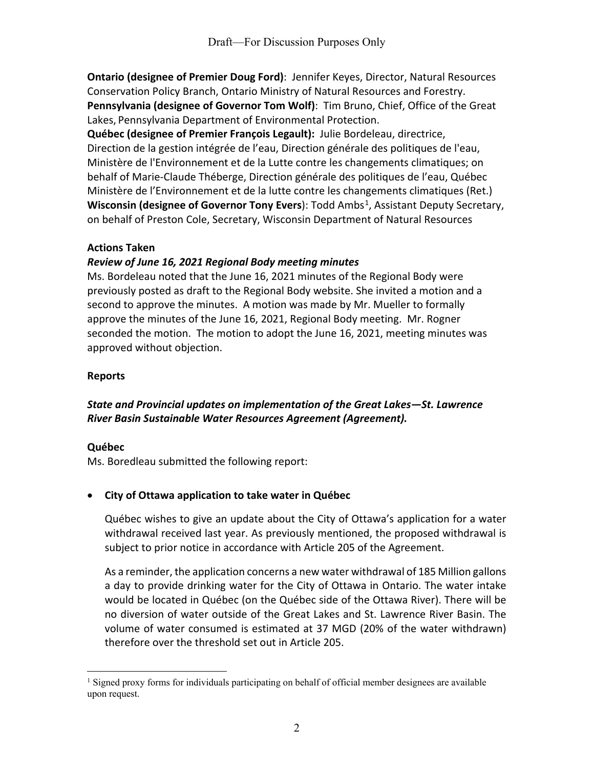**Ontario (designee of Premier Doug Ford)**: Jennifer Keyes, Director, Natural Resources Conservation Policy Branch, Ontario Ministry of Natural Resources and Forestry. **Pennsylvania (designee of Governor Tom Wolf)**: Tim Bruno, Chief, Office of the Great Lakes, Pennsylvania Department of Environmental Protection.

**Québec (designee of Premier François Legault):** Julie Bordeleau, directrice, Direction de la gestion intégrée de l'eau, Direction générale des politiques de l'eau, Ministère de l'Environnement et de la Lutte contre les changements climatiques; on behalf of Marie-Claude Théberge, Direction générale des politiques de l'eau, Québec Ministère de l'Environnement et de la lutte contre les changements climatiques (Ret.) **Wisconsin (designee of Governor Tony Evers)**: Todd Ambs<sup>[1](#page-1-0)</sup>, Assistant Deputy Secretary, on behalf of Preston Cole, Secretary, Wisconsin Department of Natural Resources

## **Actions Taken**

# *Review of June 16, 2021 Regional Body meeting minutes*

Ms. Bordeleau noted that the June 16, 2021 minutes of the Regional Body were previously posted as draft to the Regional Body website. She invited a motion and a second to approve the minutes. A motion was made by Mr. Mueller to formally approve the minutes of the June 16, 2021, Regional Body meeting. Mr. Rogner seconded the motion. The motion to adopt the June 16, 2021, meeting minutes was approved without objection.

# **Reports**

# *State and Provincial updates on implementation of the Great Lakes—St. Lawrence River Basin Sustainable Water Resources Agreement (Agreement).*

## **Québec**

Ms. Boredleau submitted the following report:

# • **City of Ottawa application to take water in Québec**

Québec wishes to give an update about the City of Ottawa's application for a water withdrawal received last year. As previously mentioned, the proposed withdrawal is subject to prior notice in accordance with Article 205 of the Agreement.

As a reminder, the application concerns a new water withdrawal of 185 Million gallons a day to provide drinking water for the City of Ottawa in Ontario. The water intake would be located in Québec (on the Québec side of the Ottawa River). There will be no diversion of water outside of the Great Lakes and St. Lawrence River Basin. The volume of water consumed is estimated at 37 MGD (20% of the water withdrawn) therefore over the threshold set out in Article 205.

<span id="page-1-0"></span><sup>&</sup>lt;sup>1</sup> Signed proxy forms for individuals participating on behalf of official member designees are available upon request.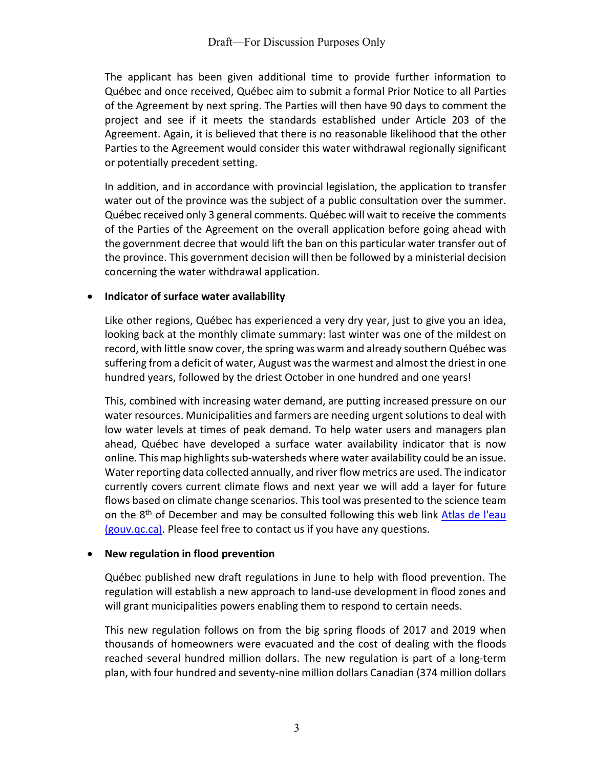The applicant has been given additional time to provide further information to Québec and once received, Québec aim to submit a formal Prior Notice to all Parties of the Agreement by next spring. The Parties will then have 90 days to comment the project and see if it meets the standards established under Article 203 of the Agreement. Again, it is believed that there is no reasonable likelihood that the other Parties to the Agreement would consider this water withdrawal regionally significant or potentially precedent setting.

In addition, and in accordance with provincial legislation, the application to transfer water out of the province was the subject of a public consultation over the summer. Québec received only 3 general comments. Québec will wait to receive the comments of the Parties of the Agreement on the overall application before going ahead with the government decree that would lift the ban on this particular water transfer out of the province. This government decision will then be followed by a ministerial decision concerning the water withdrawal application.

## • **Indicator of surface water availability**

Like other regions, Québec has experienced a very dry year, just to give you an idea, looking back at the monthly climate summary: last winter was one of the mildest on record, with little snow cover, the spring was warm and already southern Québec was suffering from a deficit of water, August was the warmest and almost the driest in one hundred years, followed by the driest October in one hundred and one years!

This, combined with increasing water demand, are putting increased pressure on our water resources. Municipalities and farmers are needing urgent solutions to deal with low water levels at times of peak demand. To help water users and managers plan ahead, Québec have developed a surface water availability indicator that is now online. This map highlights sub-watersheds where water availability could be an issue. Water reporting data collected annually, and river flow metrics are used. The indicator currently covers current climate flows and next year we will add a layer for future flows based on climate change scenarios. This tool was presented to the science team on the 8<sup>th</sup> of December and may be consulted following this web link Atlas de l'eau [\(gouv.qc.ca\).](https://www.environnement.gouv.qc.ca/eau/atlas/atlas-argis/index.html) Please feel free to contact us if you have any questions.

#### • **New regulation in flood prevention**

Québec published new draft regulations in June to help with flood prevention. The regulation will establish a new approach to land-use development in flood zones and will grant municipalities powers enabling them to respond to certain needs.

This new regulation follows on from the big spring floods of 2017 and 2019 when thousands of homeowners were evacuated and the cost of dealing with the floods reached several hundred million dollars. The new regulation is part of a long-term plan, with four hundred and seventy-nine million dollars Canadian (374 million dollars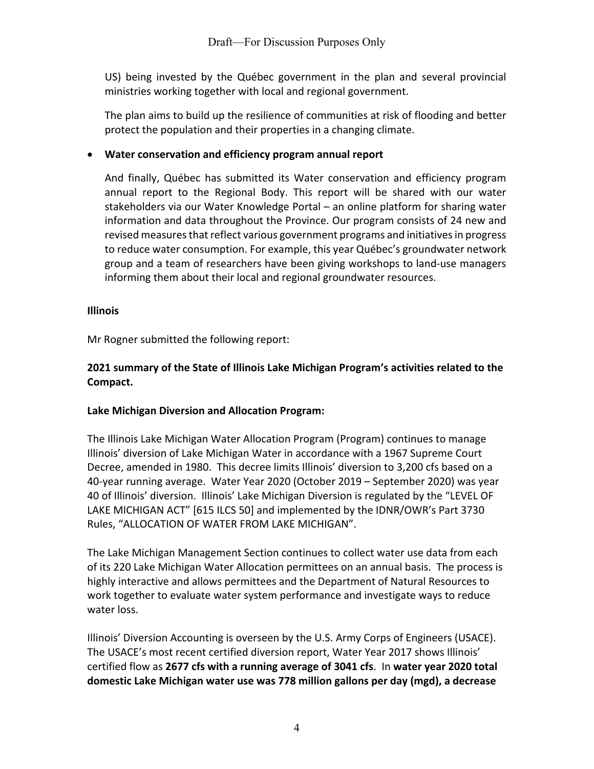US) being invested by the Québec government in the plan and several provincial ministries working together with local and regional government.

The plan aims to build up the resilience of communities at risk of flooding and better protect the population and their properties in a changing climate.

# • **Water conservation and efficiency program annual report**

And finally, Québec has submitted its Water conservation and efficiency program annual report to the Regional Body. This report will be shared with our water stakeholders via our Water Knowledge Portal – an online platform for sharing water information and data throughout the Province. Our program consists of 24 new and revised measures that reflect various government programs and initiatives in progress to reduce water consumption. For example, this year Québec's groundwater network group and a team of researchers have been giving workshops to land-use managers informing them about their local and regional groundwater resources.

## **Illinois**

Mr Rogner submitted the following report:

# **2021 summary of the State of Illinois Lake Michigan Program's activities related to the Compact.**

## **Lake Michigan Diversion and Allocation Program:**

The Illinois Lake Michigan Water Allocation Program (Program) continues to manage Illinois' diversion of Lake Michigan Water in accordance with a 1967 Supreme Court Decree, amended in 1980. This decree limits Illinois' diversion to 3,200 cfs based on a 40-year running average. Water Year 2020 (October 2019 – September 2020) was year 40 of Illinois' diversion. Illinois' Lake Michigan Diversion is regulated by the "LEVEL OF LAKE MICHIGAN ACT" [615 ILCS 50] and implemented by the IDNR/OWR's Part 3730 Rules, "ALLOCATION OF WATER FROM LAKE MICHIGAN".

The Lake Michigan Management Section continues to collect water use data from each of its 220 Lake Michigan Water Allocation permittees on an annual basis. The process is highly interactive and allows permittees and the Department of Natural Resources to work together to evaluate water system performance and investigate ways to reduce water loss.

Illinois' Diversion Accounting is overseen by the U.S. Army Corps of Engineers (USACE). The USACE's most recent certified diversion report, Water Year 2017 shows Illinois' certified flow as **2677 cfs with a running average of 3041 cfs**. In **water year 2020 total domestic Lake Michigan water use was 778 million gallons per day (mgd), a decrease**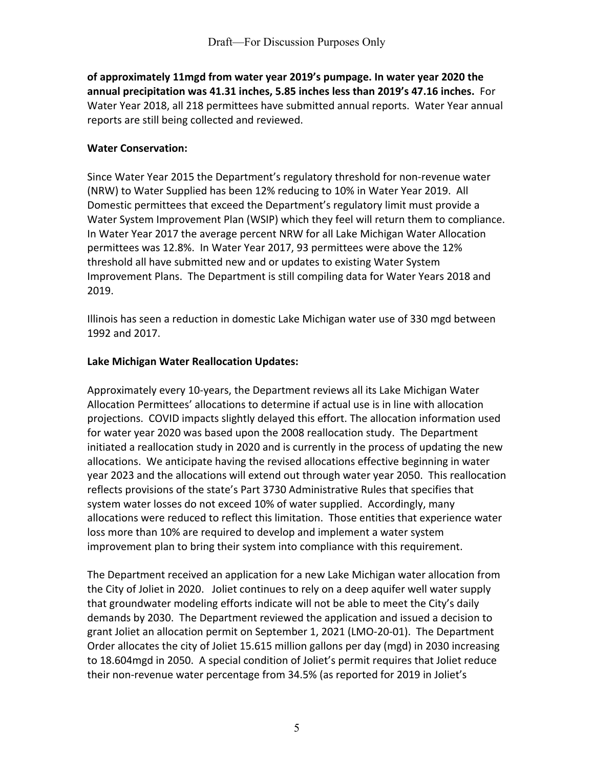**of approximately 11mgd from water year 2019's pumpage. In water year 2020 the annual precipitation was 41.31 inches, 5.85 inches less than 2019's 47.16 inches.** For Water Year 2018, all 218 permittees have submitted annual reports. Water Year annual reports are still being collected and reviewed.

#### **Water Conservation:**

Since Water Year 2015 the Department's regulatory threshold for non-revenue water (NRW) to Water Supplied has been 12% reducing to 10% in Water Year 2019. All Domestic permittees that exceed the Department's regulatory limit must provide a Water System Improvement Plan (WSIP) which they feel will return them to compliance. In Water Year 2017 the average percent NRW for all Lake Michigan Water Allocation permittees was 12.8%. In Water Year 2017, 93 permittees were above the 12% threshold all have submitted new and or updates to existing Water System Improvement Plans. The Department is still compiling data for Water Years 2018 and 2019.

Illinois has seen a reduction in domestic Lake Michigan water use of 330 mgd between 1992 and 2017.

#### **Lake Michigan Water Reallocation Updates:**

Approximately every 10-years, the Department reviews all its Lake Michigan Water Allocation Permittees' allocations to determine if actual use is in line with allocation projections. COVID impacts slightly delayed this effort. The allocation information used for water year 2020 was based upon the 2008 reallocation study. The Department initiated a reallocation study in 2020 and is currently in the process of updating the new allocations. We anticipate having the revised allocations effective beginning in water year 2023 and the allocations will extend out through water year 2050. This reallocation reflects provisions of the state's Part 3730 Administrative Rules that specifies that system water losses do not exceed 10% of water supplied. Accordingly, many allocations were reduced to reflect this limitation. Those entities that experience water loss more than 10% are required to develop and implement a water system improvement plan to bring their system into compliance with this requirement.

The Department received an application for a new Lake Michigan water allocation from the City of Joliet in 2020. Joliet continues to rely on a deep aquifer well water supply that groundwater modeling efforts indicate will not be able to meet the City's daily demands by 2030. The Department reviewed the application and issued a decision to grant Joliet an allocation permit on September 1, 2021 (LMO-20-01). The Department Order allocates the city of Joliet 15.615 million gallons per day (mgd) in 2030 increasing to 18.604mgd in 2050. A special condition of Joliet's permit requires that Joliet reduce their non-revenue water percentage from 34.5% (as reported for 2019 in Joliet's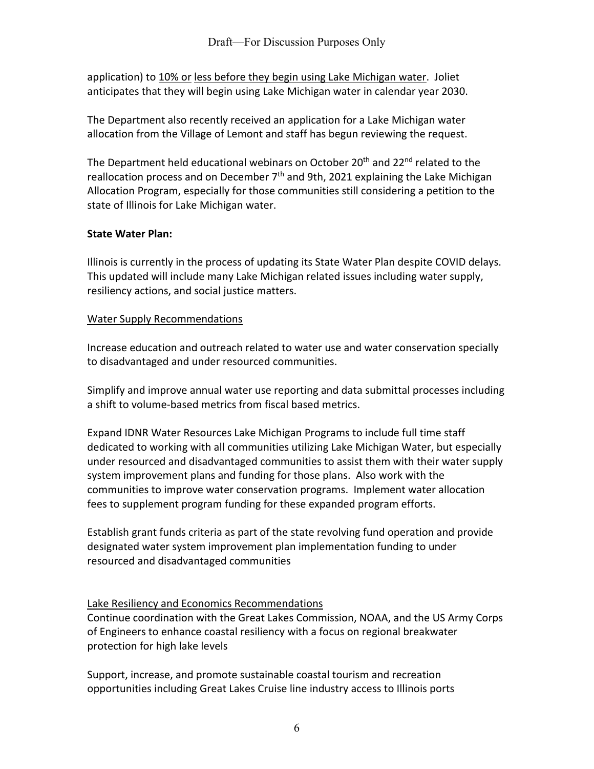application) to 10% or less before they begin using Lake Michigan water. Joliet anticipates that they will begin using Lake Michigan water in calendar year 2030.

The Department also recently received an application for a Lake Michigan water allocation from the Village of Lemont and staff has begun reviewing the request.

The Department held educational webinars on October 20<sup>th</sup> and 22<sup>nd</sup> related to the reallocation process and on December  $7<sup>th</sup>$  and 9th, 2021 explaining the Lake Michigan Allocation Program, especially for those communities still considering a petition to the state of Illinois for Lake Michigan water.

# **State Water Plan:**

Illinois is currently in the process of updating its State Water Plan despite COVID delays. This updated will include many Lake Michigan related issues including water supply, resiliency actions, and social justice matters.

# Water Supply Recommendations

Increase education and outreach related to water use and water conservation specially to disadvantaged and under resourced communities.

Simplify and improve annual water use reporting and data submittal processes including a shift to volume-based metrics from fiscal based metrics.

Expand IDNR Water Resources Lake Michigan Programs to include full time staff dedicated to working with all communities utilizing Lake Michigan Water, but especially under resourced and disadvantaged communities to assist them with their water supply system improvement plans and funding for those plans. Also work with the communities to improve water conservation programs. Implement water allocation fees to supplement program funding for these expanded program efforts.

Establish grant funds criteria as part of the state revolving fund operation and provide designated water system improvement plan implementation funding to under resourced and disadvantaged communities

# Lake Resiliency and Economics Recommendations

Continue coordination with the Great Lakes Commission, NOAA, and the US Army Corps of Engineers to enhance coastal resiliency with a focus on regional breakwater protection for high lake levels

Support, increase, and promote sustainable coastal tourism and recreation opportunities including Great Lakes Cruise line industry access to Illinois ports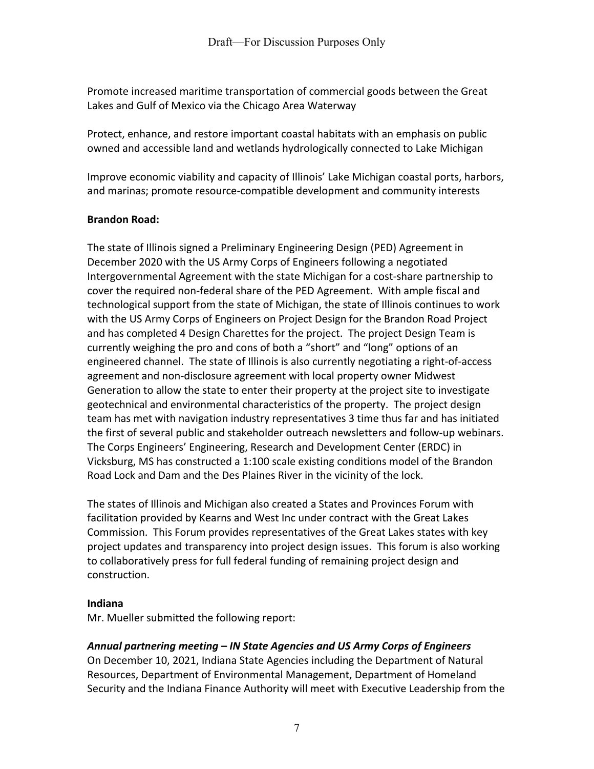Promote increased maritime transportation of commercial goods between the Great Lakes and Gulf of Mexico via the Chicago Area Waterway

Protect, enhance, and restore important coastal habitats with an emphasis on public owned and accessible land and wetlands hydrologically connected to Lake Michigan

Improve economic viability and capacity of Illinois' Lake Michigan coastal ports, harbors, and marinas; promote resource-compatible development and community interests

# **Brandon Road:**

The state of Illinois signed a Preliminary Engineering Design (PED) Agreement in December 2020 with the US Army Corps of Engineers following a negotiated Intergovernmental Agreement with the state Michigan for a cost-share partnership to cover the required non-federal share of the PED Agreement. With ample fiscal and technological support from the state of Michigan, the state of Illinois continues to work with the US Army Corps of Engineers on Project Design for the Brandon Road Project and has completed 4 Design Charettes for the project. The project Design Team is currently weighing the pro and cons of both a "short" and "long" options of an engineered channel. The state of Illinois is also currently negotiating a right-of-access agreement and non-disclosure agreement with local property owner Midwest Generation to allow the state to enter their property at the project site to investigate geotechnical and environmental characteristics of the property. The project design team has met with navigation industry representatives 3 time thus far and has initiated the first of several public and stakeholder outreach newsletters and follow-up webinars. The Corps Engineers' Engineering, Research and Development Center (ERDC) in Vicksburg, MS has constructed a 1:100 scale existing conditions model of the Brandon Road Lock and Dam and the Des Plaines River in the vicinity of the lock.

The states of Illinois and Michigan also created a States and Provinces Forum with facilitation provided by Kearns and West Inc under contract with the Great Lakes Commission. This Forum provides representatives of the Great Lakes states with key project updates and transparency into project design issues. This forum is also working to collaboratively press for full federal funding of remaining project design and construction.

## **Indiana**

Mr. Mueller submitted the following report:

# *Annual partnering meeting – IN State Agencies and US Army Corps of Engineers*

On December 10, 2021, Indiana State Agencies including the Department of Natural Resources, Department of Environmental Management, Department of Homeland Security and the Indiana Finance Authority will meet with Executive Leadership from the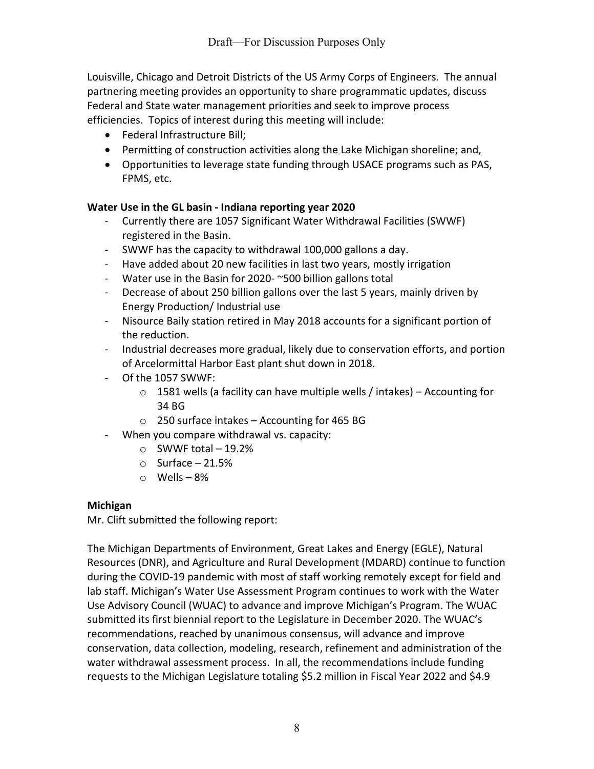Louisville, Chicago and Detroit Districts of the US Army Corps of Engineers. The annual partnering meeting provides an opportunity to share programmatic updates, discuss Federal and State water management priorities and seek to improve process efficiencies. Topics of interest during this meeting will include:

- Federal Infrastructure Bill;
- Permitting of construction activities along the Lake Michigan shoreline; and,
- Opportunities to leverage state funding through USACE programs such as PAS, FPMS, etc.

## **Water Use in the GL basin - Indiana reporting year 2020**

- Currently there are 1057 Significant Water Withdrawal Facilities (SWWF) registered in the Basin.
- SWWF has the capacity to withdrawal 100,000 gallons a day.
- Have added about 20 new facilities in last two years, mostly irrigation
- Water use in the Basin for 2020- ~500 billion gallons total
- Decrease of about 250 billion gallons over the last 5 years, mainly driven by Energy Production/ Industrial use
- Nisource Baily station retired in May 2018 accounts for a significant portion of the reduction.
- Industrial decreases more gradual, likely due to conservation efforts, and portion of Arcelormittal Harbor East plant shut down in 2018.
- Of the 1057 SWWF:
	- $\circ$  1581 wells (a facility can have multiple wells / intakes) Accounting for 34 BG
	- o 250 surface intakes Accounting for 465 BG
- When you compare withdrawal vs. capacity:
	- o SWWF total 19.2%
	- $\circ$  Surface 21.5%
	- o Wells 8%

## **Michigan**

Mr. Clift submitted the following report:

The Michigan Departments of Environment, Great Lakes and Energy (EGLE), Natural Resources (DNR), and Agriculture and Rural Development (MDARD) continue to function during the COVID-19 pandemic with most of staff working remotely except for field and lab staff. Michigan's Water Use Assessment Program continues to work with the Water Use Advisory Council (WUAC) to advance and improve Michigan's Program. The WUAC submitted its first biennial report to the Legislature in December 2020. The WUAC's recommendations, reached by unanimous consensus, will advance and improve conservation, data collection, modeling, research, refinement and administration of the water withdrawal assessment process. In all, the recommendations include funding requests to the Michigan Legislature totaling \$5.2 million in Fiscal Year 2022 and \$4.9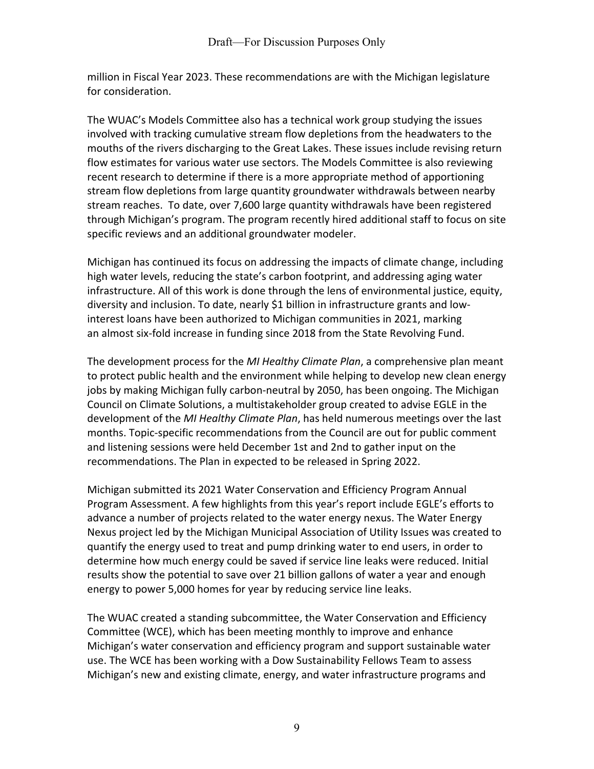million in Fiscal Year 2023. These recommendations are with the Michigan legislature for consideration.

The WUAC's Models Committee also has a technical work group studying the issues involved with tracking cumulative stream flow depletions from the headwaters to the mouths of the rivers discharging to the Great Lakes. These issues include revising return flow estimates for various water use sectors. The Models Committee is also reviewing recent research to determine if there is a more appropriate method of apportioning stream flow depletions from large quantity groundwater withdrawals between nearby stream reaches. To date, over 7,600 large quantity withdrawals have been registered through Michigan's program. The program recently hired additional staff to focus on site specific reviews and an additional groundwater modeler.

Michigan has continued its focus on addressing the impacts of climate change, including high water levels, reducing the state's carbon footprint, and addressing aging water infrastructure. All of this work is done through the lens of environmental justice, equity, diversity and inclusion. To date, nearly \$1 billion in infrastructure grants and lowinterest loans have been authorized to Michigan communities in 2021, marking an almost six-fold increase in funding since 2018 from the State Revolving Fund.

The development process for the *MI Healthy Climate Plan*, a comprehensive plan meant to protect public health and the environment while helping to develop new clean energy jobs by making Michigan fully carbon-neutral by 2050, has been ongoing. The Michigan Council on Climate Solutions, a multistakeholder group created to advise EGLE in the development of the *MI Healthy Climate Plan*, has held numerous meetings over the last months. Topic-specific recommendations from the Council are out for public comment and listening sessions were held December 1st and 2nd to gather input on the recommendations. The Plan in expected to be released in Spring 2022.

Michigan submitted its 2021 Water Conservation and Efficiency Program Annual Program Assessment. A few highlights from this year's report include EGLE's efforts to advance a number of projects related to the water energy nexus. The Water Energy Nexus project led by the Michigan Municipal Association of Utility Issues was created to quantify the energy used to treat and pump drinking water to end users, in order to determine how much energy could be saved if service line leaks were reduced. Initial results show the potential to save over 21 billion gallons of water a year and enough energy to power 5,000 homes for year by reducing service line leaks.

The WUAC created a standing subcommittee, the Water Conservation and Efficiency Committee (WCE), which has been meeting monthly to improve and enhance Michigan's water conservation and efficiency program and support sustainable water use. The WCE has been working with a Dow Sustainability Fellows Team to assess Michigan's new and existing climate, energy, and water infrastructure programs and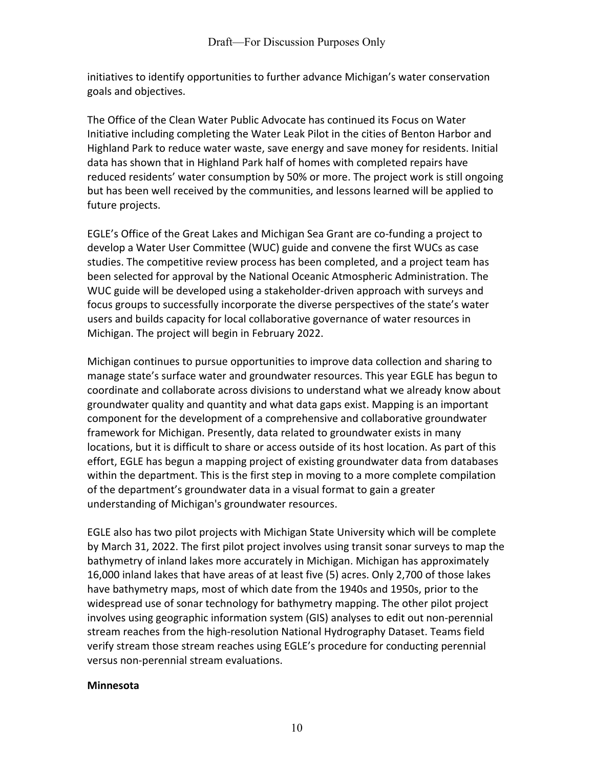initiatives to identify opportunities to further advance Michigan's water conservation goals and objectives.

The Office of the Clean Water Public Advocate has continued its Focus on Water Initiative including completing the Water Leak Pilot in the cities of Benton Harbor and Highland Park to reduce water waste, save energy and save money for residents. Initial data has shown that in Highland Park half of homes with completed repairs have reduced residents' water consumption by 50% or more. The project work is still ongoing but has been well received by the communities, and lessons learned will be applied to future projects.

EGLE's Office of the Great Lakes and Michigan Sea Grant are co-funding a project to develop a Water User Committee (WUC) guide and convene the first WUCs as case studies. The competitive review process has been completed, and a project team has been selected for approval by the National Oceanic Atmospheric Administration. The WUC guide will be developed using a stakeholder-driven approach with surveys and focus groups to successfully incorporate the diverse perspectives of the state's water users and builds capacity for local collaborative governance of water resources in Michigan. The project will begin in February 2022.

Michigan continues to pursue opportunities to improve data collection and sharing to manage state's surface water and groundwater resources. This year EGLE has begun to coordinate and collaborate across divisions to understand what we already know about groundwater quality and quantity and what data gaps exist. Mapping is an important component for the development of a comprehensive and collaborative groundwater framework for Michigan. Presently, data related to groundwater exists in many locations, but it is difficult to share or access outside of its host location. As part of this effort, EGLE has begun a mapping project of existing groundwater data from databases within the department. This is the first step in moving to a more complete compilation of the department's groundwater data in a visual format to gain a greater understanding of Michigan's groundwater resources.

EGLE also has two pilot projects with Michigan State University which will be complete by March 31, 2022. The first pilot project involves using transit sonar surveys to map the bathymetry of inland lakes more accurately in Michigan. Michigan has approximately 16,000 inland lakes that have areas of at least five (5) acres. Only 2,700 of those lakes have bathymetry maps, most of which date from the 1940s and 1950s, prior to the widespread use of sonar technology for bathymetry mapping. The other pilot project involves using geographic information system (GIS) analyses to edit out non-perennial stream reaches from the high-resolution National Hydrography Dataset. Teams field verify stream those stream reaches using EGLE's procedure for conducting perennial versus non-perennial stream evaluations.

## **Minnesota**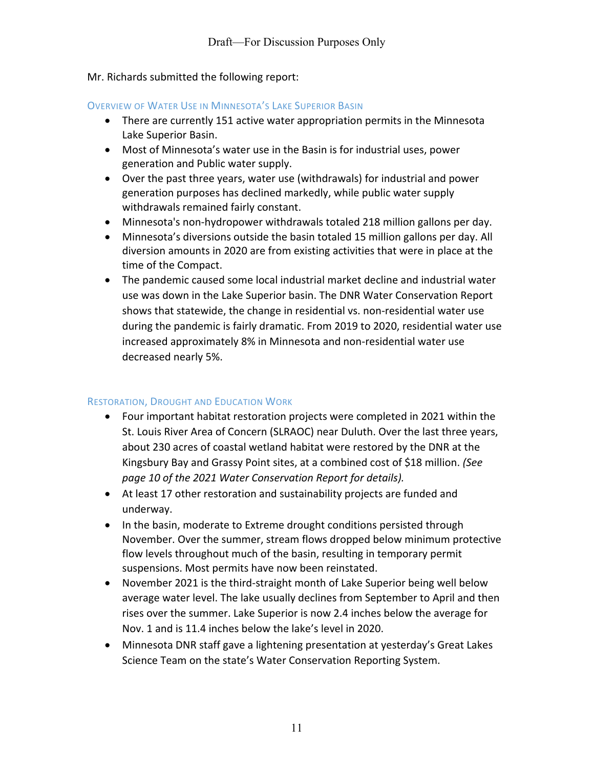## Mr. Richards submitted the following report:

#### OVERVIEW OF WATER USE IN MINNESOTA'S LAKE SUPERIOR BASIN

- There are currently 151 active water appropriation permits in the Minnesota Lake Superior Basin.
- Most of Minnesota's water use in the Basin is for industrial uses, power generation and Public water supply.
- Over the past three years, water use (withdrawals) for industrial and power generation purposes has declined markedly, while public water supply withdrawals remained fairly constant.
- Minnesota's non-hydropower withdrawals totaled 218 million gallons per day.
- Minnesota's diversions outside the basin totaled 15 million gallons per day. All diversion amounts in 2020 are from existing activities that were in place at the time of the Compact.
- The pandemic caused some local industrial market decline and industrial water use was down in the Lake Superior basin. The DNR Water Conservation Report shows that statewide, the change in residential vs. non-residential water use during the pandemic is fairly dramatic. From 2019 to 2020, residential water use increased approximately 8% in Minnesota and non-residential water use decreased nearly 5%.

## RESTORATION, DROUGHT AND EDUCATION WORK

- Four important habitat restoration projects were completed in 2021 within the St. Louis River Area of Concern (SLRAOC) near Duluth. Over the last three years, about 230 acres of coastal wetland habitat were restored by the DNR at the Kingsbury Bay and Grassy Point sites, at a combined cost of \$18 million. *(See page 10 of the 2021 Water Conservation Report for details).*
- At least 17 other restoration and sustainability projects are funded and underway.
- In the basin, moderate to Extreme drought conditions persisted through November. Over the summer, stream flows dropped below minimum protective flow levels throughout much of the basin, resulting in temporary permit suspensions. Most permits have now been reinstated.
- November 2021 is the third-straight month of Lake Superior being well below average water level. The lake usually declines from September to April and then rises over the summer. Lake Superior is now 2.4 inches below the average for Nov. 1 and is 11.4 inches below the lake's level in 2020.
- Minnesota DNR staff gave a lightening presentation at yesterday's Great Lakes Science Team on the state's Water Conservation Reporting System.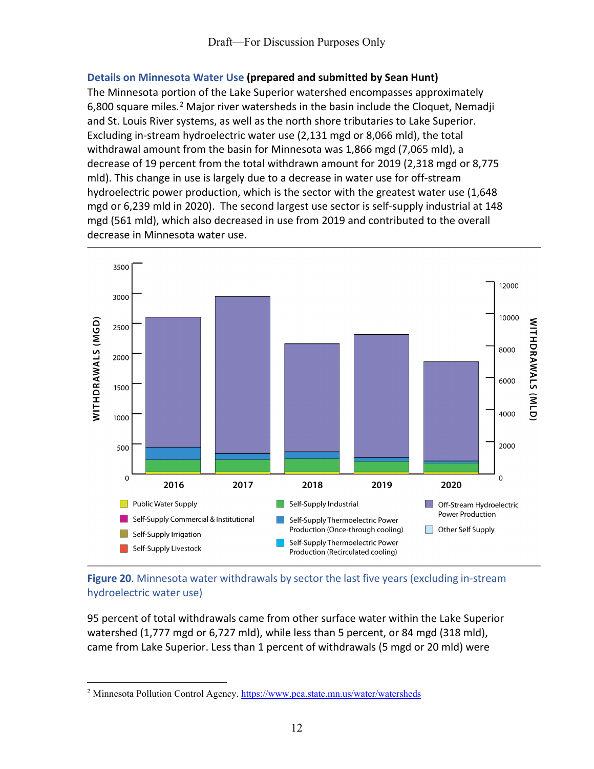## **Details on Minnesota Water Use (prepared and submitted by Sean Hunt)**

The Minnesota portion of the Lake Superior watershed encompasses approximately 6,800 square miles.<sup>[2](#page-11-0)</sup> Major river watersheds in the basin include the Cloquet, Nemadji and St. Louis River systems, as well as the north shore tributaries to Lake Superior. Excluding in-stream hydroelectric water use (2,131 mgd or 8,066 mld), the total withdrawal amount from the basin for Minnesota was 1,866 mgd (7,065 mld), a decrease of 19 percent from the total withdrawn amount for 2019 (2,318 mgd or 8,775 mld). This change in use is largely due to a decrease in water use for off-stream hydroelectric power production, which is the sector with the greatest water use (1,648 mgd or 6,239 mld in 2020). The second largest use sector is self-supply industrial at 148 mgd (561 mld), which also decreased in use from 2019 and contributed to the overall decrease in Minnesota water use.



## **Figure 20**. Minnesota water withdrawals by sector the last five years (excluding in-stream hydroelectric water use)

95 percent of total withdrawals came from other surface water within the Lake Superior watershed (1,777 mgd or 6,727 mld), while less than 5 percent, or 84 mgd (318 mld), came from Lake Superior. Less than 1 percent of withdrawals (5 mgd or 20 mld) were

<span id="page-11-0"></span><sup>2</sup> Minnesota Pollution Control Agency.<https://www.pca.state.mn.us/water/watersheds>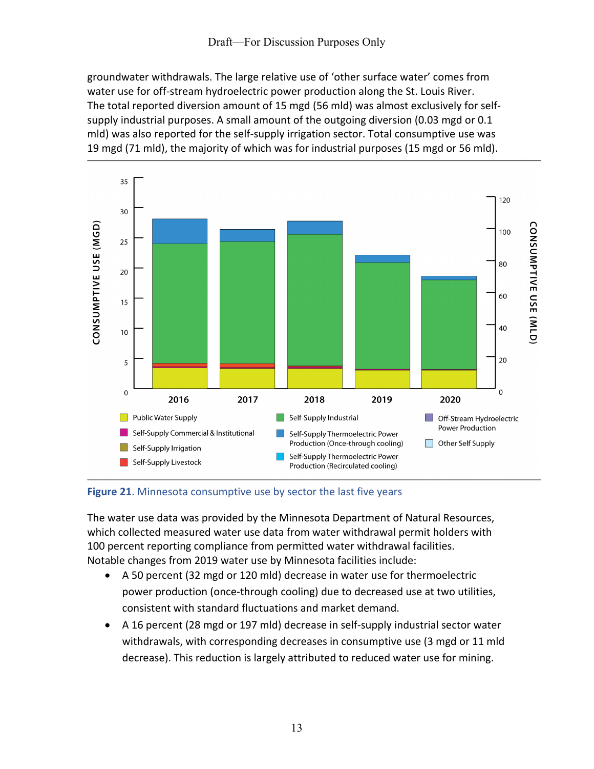groundwater withdrawals. The large relative use of 'other surface water' comes from water use for off-stream hydroelectric power production along the St. Louis River. The total reported diversion amount of 15 mgd (56 mld) was almost exclusively for selfsupply industrial purposes. A small amount of the outgoing diversion (0.03 mgd or 0.1 mld) was also reported for the self-supply irrigation sector. Total consumptive use was 19 mgd (71 mld), the majority of which was for industrial purposes (15 mgd or 56 mld).



## **Figure 21**. Minnesota consumptive use by sector the last five years

The water use data was provided by the Minnesota Department of Natural Resources, which collected measured water use data from water withdrawal permit holders with 100 percent reporting compliance from permitted water withdrawal facilities. Notable changes from 2019 water use by Minnesota facilities include:

- A 50 percent (32 mgd or 120 mld) decrease in water use for thermoelectric power production (once-through cooling) due to decreased use at two utilities, consistent with standard fluctuations and market demand.
- A 16 percent (28 mgd or 197 mld) decrease in self-supply industrial sector water withdrawals, with corresponding decreases in consumptive use (3 mgd or 11 mld decrease). This reduction is largely attributed to reduced water use for mining.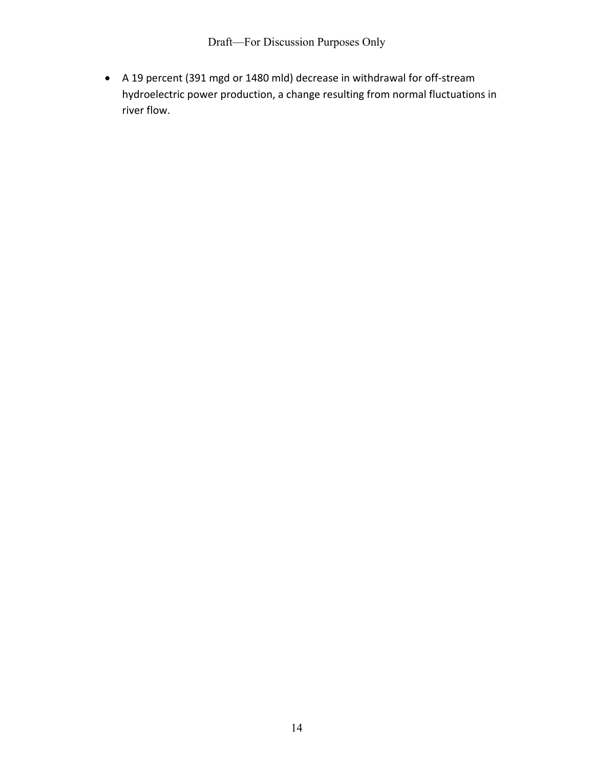• A 19 percent (391 mgd or 1480 mld) decrease in withdrawal for off-stream hydroelectric power production, a change resulting from normal fluctuations in river flow.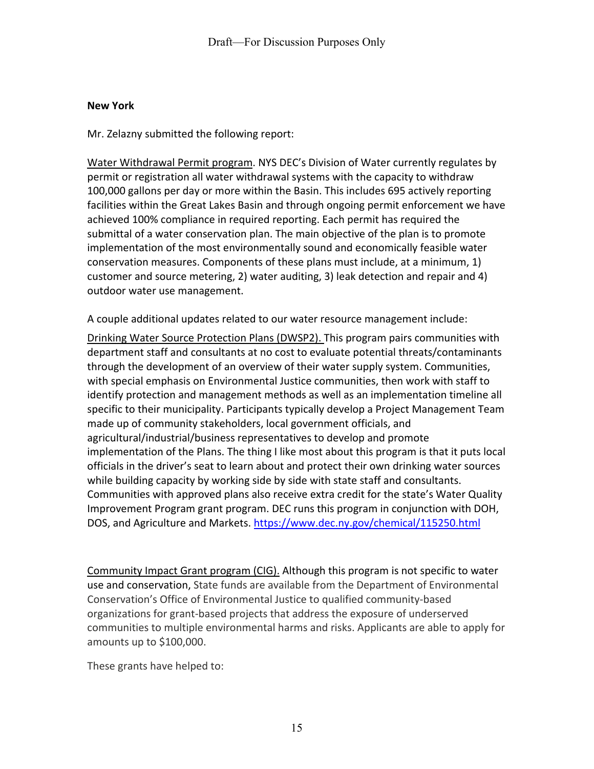#### **New York**

Mr. Zelazny submitted the following report:

Water Withdrawal Permit program. NYS DEC's Division of Water currently regulates by permit or registration all water withdrawal systems with the capacity to withdraw 100,000 gallons per day or more within the Basin. This includes 695 actively reporting facilities within the Great Lakes Basin and through ongoing permit enforcement we have achieved 100% compliance in required reporting. Each permit has required the submittal of a water conservation plan. The main objective of the plan is to promote implementation of the most environmentally sound and economically feasible water conservation measures. Components of these plans must include, at a minimum, 1) customer and source metering, 2) water auditing, 3) leak detection and repair and 4) outdoor water use management.

A couple additional updates related to our water resource management include:

Drinking Water Source Protection Plans (DWSP2). This program pairs communities with department staff and consultants at no cost to evaluate potential threats/contaminants through the development of an overview of their water supply system. Communities, with special emphasis on Environmental Justice communities, then work with staff to identify protection and management methods as well as an implementation timeline all specific to their municipality. Participants typically develop a Project Management Team made up of community stakeholders, local government officials, and agricultural/industrial/business representatives to develop and promote implementation of the Plans. The thing I like most about this program is that it puts local officials in the driver's seat to learn about and protect their own drinking water sources while building capacity by working side by side with state staff and consultants. Communities with approved plans also receive extra credit for the state's Water Quality Improvement Program grant program. DEC runs this program in conjunction with DOH, DOS, and Agriculture and Markets.<https://www.dec.ny.gov/chemical/115250.html>

Community Impact Grant program (CIG). Although this program is not specific to water use and conservation, State funds are available from the Department of Environmental Conservation's Office of Environmental Justice to qualified community-based organizations for grant-based projects that address the exposure of underserved communities to multiple environmental harms and risks. Applicants are able to apply for amounts up to \$100,000.

These grants have helped to: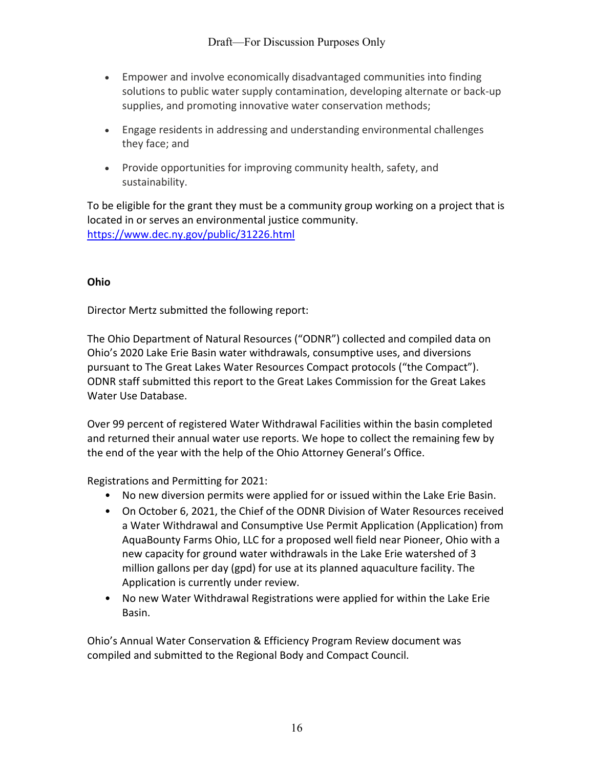- Empower and involve economically disadvantaged communities into finding solutions to public water supply contamination, developing alternate or back-up supplies, and promoting innovative water conservation methods;
- Engage residents in addressing and understanding environmental challenges they face; and
- Provide opportunities for improving community health, safety, and sustainability.

To be eligible for the grant they must be a community group working on a project that is located in or serves an environmental justice community. <https://www.dec.ny.gov/public/31226.html>

## **Ohio**

Director Mertz submitted the following report:

The Ohio Department of Natural Resources ("ODNR") collected and compiled data on Ohio's 2020 Lake Erie Basin water withdrawals, consumptive uses, and diversions pursuant to The Great Lakes Water Resources Compact protocols ("the Compact"). ODNR staff submitted this report to the Great Lakes Commission for the Great Lakes Water Use Database.

Over 99 percent of registered Water Withdrawal Facilities within the basin completed and returned their annual water use reports. We hope to collect the remaining few by the end of the year with the help of the Ohio Attorney General's Office.

Registrations and Permitting for 2021:

- No new diversion permits were applied for or issued within the Lake Erie Basin.
- On October 6, 2021, the Chief of the ODNR Division of Water Resources received a Water Withdrawal and Consumptive Use Permit Application (Application) from AquaBounty Farms Ohio, LLC for a proposed well field near Pioneer, Ohio with a new capacity for ground water withdrawals in the Lake Erie watershed of 3 million gallons per day (gpd) for use at its planned aquaculture facility. The Application is currently under review.
- No new Water Withdrawal Registrations were applied for within the Lake Erie Basin.

Ohio's Annual Water Conservation & Efficiency Program Review document was compiled and submitted to the Regional Body and Compact Council.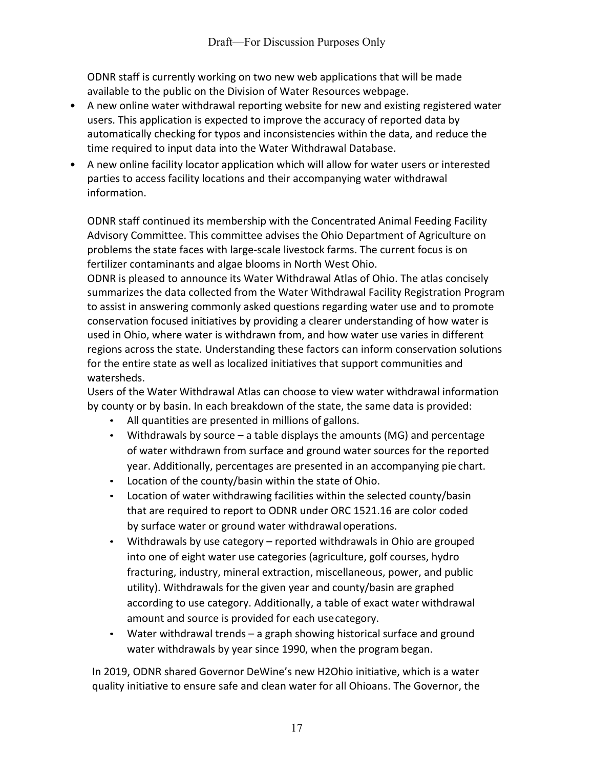ODNR staff is currently working on two new web applications that will be made available to the public on the Division of Water Resources webpage.

- A new online water withdrawal reporting website for new and existing registered water users. This application is expected to improve the accuracy of reported data by automatically checking for typos and inconsistencies within the data, and reduce the time required to input data into the Water Withdrawal Database.
- A new online facility locator application which will allow for water users or interested parties to access facility locations and their accompanying water withdrawal information.

ODNR staff continued its membership with the Concentrated Animal Feeding Facility Advisory Committee. This committee advises the Ohio Department of Agriculture on problems the state faces with large-scale livestock farms. The current focus is on fertilizer contaminants and algae blooms in North West Ohio.

ODNR is pleased to announce its Water Withdrawal Atlas of Ohio. The atlas concisely summarizes the data collected from the Water Withdrawal Facility Registration Program to assist in answering commonly asked questions regarding water use and to promote conservation focused initiatives by providing a clearer understanding of how water is used in Ohio, where water is withdrawn from, and how water use varies in different regions across the state. Understanding these factors can inform conservation solutions for the entire state as well as localized initiatives that support communities and watersheds.

Users of the Water Withdrawal Atlas can choose to view water withdrawal information by county or by basin. In each breakdown of the state, the same data is provided:

- All quantities are presented in millions of gallons.
- Withdrawals by source a table displays the amounts (MG) and percentage of water withdrawn from surface and ground water sources for the reported year. Additionally, percentages are presented in an accompanying pie chart.
- Location of the county/basin within the state of Ohio.
- Location of water withdrawing facilities within the selected county/basin that are required to report to ODNR under ORC 1521.16 are color coded by surface water or ground water withdrawal operations.
- Withdrawals by use category reported withdrawals in Ohio are grouped into one of eight water use categories (agriculture, golf courses, hydro fracturing, industry, mineral extraction, miscellaneous, power, and public utility). Withdrawals for the given year and county/basin are graphed according to use category. Additionally, a table of exact water withdrawal amount and source is provided for each usecategory.
- Water withdrawal trends a graph showing historical surface and ground water withdrawals by year since 1990, when the program began.

In 2019, ODNR shared Governor DeWine's new H2Ohio initiative, which is a water quality initiative to ensure safe and clean water for all Ohioans. The Governor, the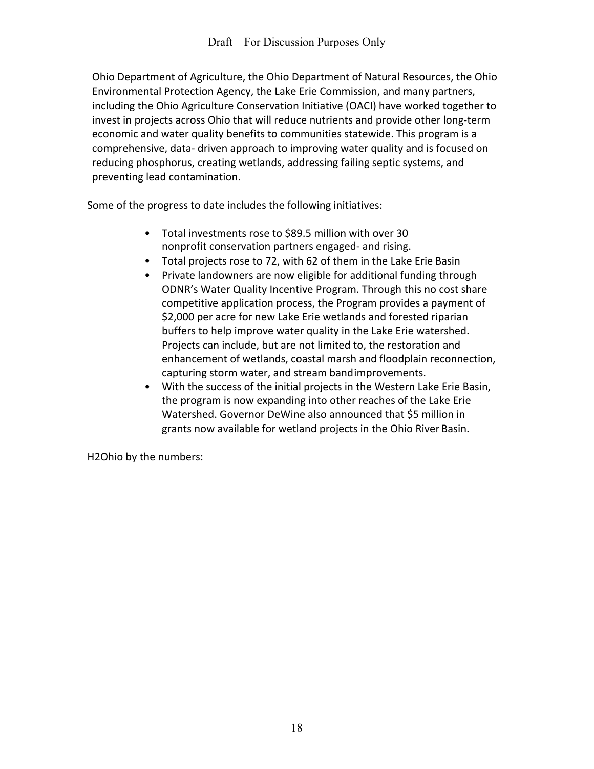Ohio Department of Agriculture, the Ohio Department of Natural Resources, the Ohio Environmental Protection Agency, the Lake Erie Commission, and many partners, including the Ohio Agriculture Conservation Initiative (OACI) have worked together to invest in projects across Ohio that will reduce nutrients and provide other long-term economic and water quality benefits to communities statewide. This program is a comprehensive, data- driven approach to improving water quality and is focused on reducing phosphorus, creating wetlands, addressing failing septic systems, and preventing lead contamination.

Some of the progress to date includes the following initiatives:

- Total investments rose to \$89.5 million with over 30 nonprofit conservation partners engaged- and rising.
- Total projects rose to 72, with 62 of them in the Lake Erie Basin
- Private landowners are now eligible for additional funding through ODNR's Water Quality Incentive Program. Through this no cost share competitive application process, the Program provides a payment of \$2,000 per acre for new Lake Erie wetlands and forested riparian buffers to help improve water quality in the Lake Erie watershed. Projects can include, but are not limited to, the restoration and enhancement of wetlands, coastal marsh and floodplain reconnection, capturing storm water, and stream bandimprovements.
- With the success of the initial projects in the Western Lake Erie Basin, the program is now expanding into other reaches of the Lake Erie Watershed. Governor DeWine also announced that \$5 million in grants now available for wetland projects in the Ohio River Basin.

H2Ohio by the numbers: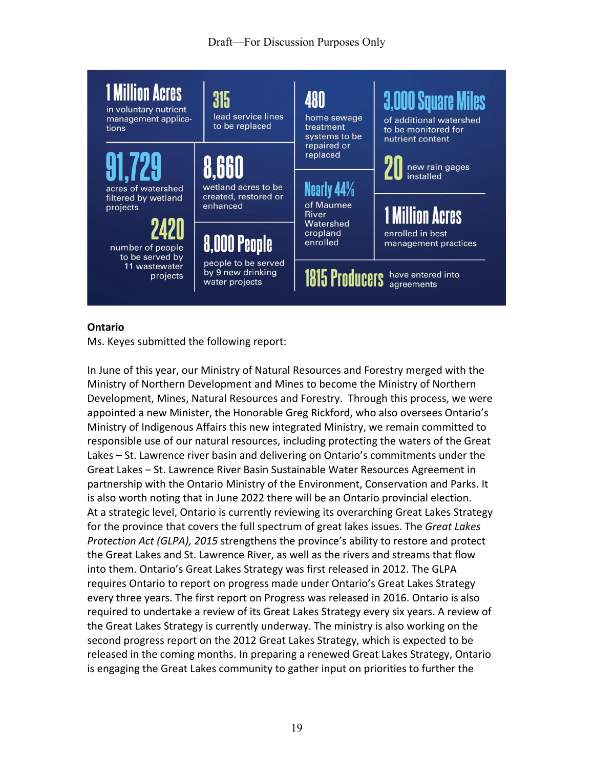# Draft—For Discussion Purposes Only



#### **Ontario**

Ms. Keyes submitted the following report:

In June of this year, our Ministry of Natural Resources and Forestry merged with the Ministry of Northern Development and Mines to become the Ministry of Northern Development, Mines, Natural Resources and Forestry. Through this process, we were appointed a new Minister, the Honorable Greg Rickford, who also oversees Ontario's Ministry of Indigenous Affairs this new integrated Ministry, we remain committed to responsible use of our natural resources, including protecting the waters of the Great Lakes – St. Lawrence river basin and delivering on Ontario's commitments under the Great Lakes – St. Lawrence River Basin Sustainable Water Resources Agreement in partnership with the Ontario Ministry of the Environment, Conservation and Parks. It is also worth noting that in June 2022 there will be an Ontario provincial election. At a strategic level, Ontario is currently reviewing its overarching Great Lakes Strategy for the province that covers the full spectrum of great lakes issues. The *Great Lakes Protection Act (GLPA), 2015* strengthens the province's ability to restore and protect the Great Lakes and St. Lawrence River, as well as the rivers and streams that flow into them. Ontario's Great Lakes Strategy was first released in 2012. The GLPA requires Ontario to report on progress made under Ontario's Great Lakes Strategy every three years. The first report on Progress was released in 2016. Ontario is also required to undertake a review of its Great Lakes Strategy every six years. A review of the Great Lakes Strategy is currently underway. The ministry is also working on the second progress report on the 2012 Great Lakes Strategy, which is expected to be released in the coming months. In preparing a renewed Great Lakes Strategy, Ontario is engaging the Great Lakes community to gather input on priorities to further the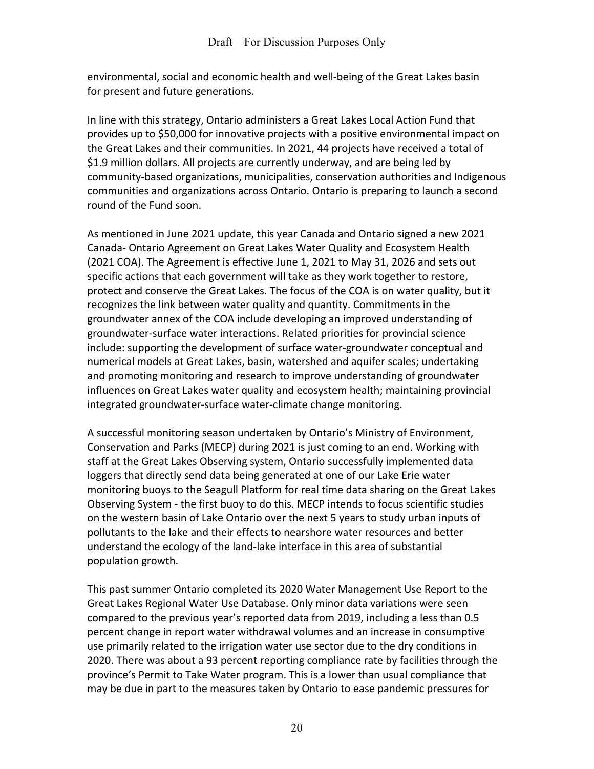environmental, social and economic health and well-being of the Great Lakes basin for present and future generations.

In line with this strategy, Ontario administers a Great Lakes Local Action Fund that provides up to \$50,000 for innovative projects with a positive environmental impact on the Great Lakes and their communities. In 2021, 44 projects have received a total of \$1.9 million dollars. All projects are currently underway, and are being led by community-based organizations, municipalities, conservation authorities and Indigenous communities and organizations across Ontario. Ontario is preparing to launch a second round of the Fund soon.

As mentioned in June 2021 update, this year Canada and Ontario signed a new 2021 Canada- Ontario Agreement on Great Lakes Water Quality and Ecosystem Health (2021 COA). The Agreement is effective June 1, 2021 to May 31, 2026 and sets out specific actions that each government will take as they work together to restore, protect and conserve the Great Lakes. The focus of the COA is on water quality, but it recognizes the link between water quality and quantity. Commitments in the groundwater annex of the COA include developing an improved understanding of groundwater-surface water interactions. Related priorities for provincial science include: supporting the development of surface water-groundwater conceptual and numerical models at Great Lakes, basin, watershed and aquifer scales; undertaking and promoting monitoring and research to improve understanding of groundwater influences on Great Lakes water quality and ecosystem health; maintaining provincial integrated groundwater-surface water-climate change monitoring.

A successful monitoring season undertaken by Ontario's Ministry of Environment, Conservation and Parks (MECP) during 2021 is just coming to an end. Working with staff at the Great Lakes Observing system, Ontario successfully implemented data loggers that directly send data being generated at one of our Lake Erie water monitoring buoys to the Seagull Platform for real time data sharing on the Great Lakes Observing System - the first buoy to do this. MECP intends to focus scientific studies on the western basin of Lake Ontario over the next 5 years to study urban inputs of pollutants to the lake and their effects to nearshore water resources and better understand the ecology of the land-lake interface in this area of substantial population growth.

This past summer Ontario completed its 2020 Water Management Use Report to the Great Lakes Regional Water Use Database. Only minor data variations were seen compared to the previous year's reported data from 2019, including a less than 0.5 percent change in report water withdrawal volumes and an increase in consumptive use primarily related to the irrigation water use sector due to the dry conditions in 2020. There was about a 93 percent reporting compliance rate by facilities through the province's Permit to Take Water program. This is a lower than usual compliance that may be due in part to the measures taken by Ontario to ease pandemic pressures for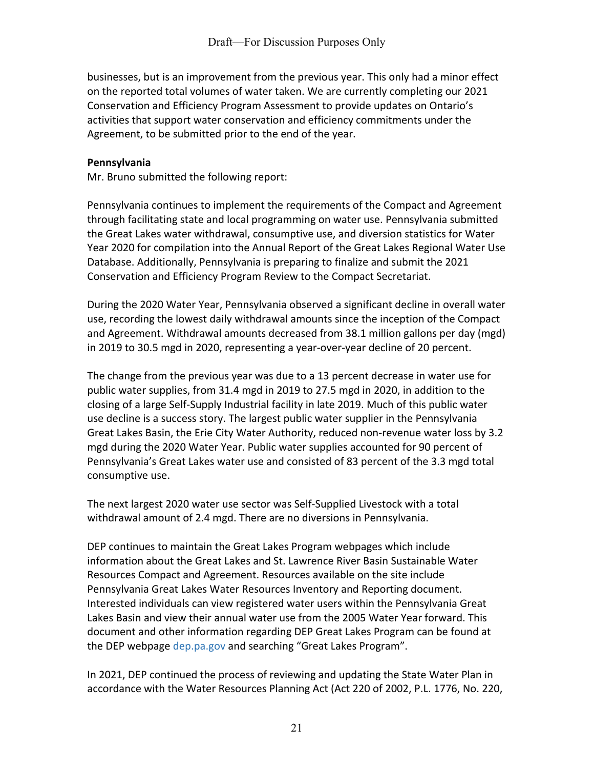businesses, but is an improvement from the previous year. This only had a minor effect on the reported total volumes of water taken. We are currently completing our 2021 Conservation and Efficiency Program Assessment to provide updates on Ontario's activities that support water conservation and efficiency commitments under the Agreement, to be submitted prior to the end of the year.

#### **Pennsylvania**

Mr. Bruno submitted the following report:

Pennsylvania continues to implement the requirements of the Compact and Agreement through facilitating state and local programming on water use. Pennsylvania submitted the Great Lakes water withdrawal, consumptive use, and diversion statistics for Water Year 2020 for compilation into the Annual Report of the Great Lakes Regional Water Use Database. Additionally, Pennsylvania is preparing to finalize and submit the 2021 Conservation and Efficiency Program Review to the Compact Secretariat.

During the 2020 Water Year, Pennsylvania observed a significant decline in overall water use, recording the lowest daily withdrawal amounts since the inception of the Compact and Agreement. Withdrawal amounts decreased from 38.1 million gallons per day (mgd) in 2019 to 30.5 mgd in 2020, representing a year-over-year decline of 20 percent.

The change from the previous year was due to a 13 percent decrease in water use for public water supplies, from 31.4 mgd in 2019 to 27.5 mgd in 2020, in addition to the closing of a large Self-Supply Industrial facility in late 2019. Much of this public water use decline is a success story. The largest public water supplier in the Pennsylvania Great Lakes Basin, the Erie City Water Authority, reduced non-revenue water loss by 3.2 mgd during the 2020 Water Year. Public water supplies accounted for 90 percent of Pennsylvania's Great Lakes water use and consisted of 83 percent of the 3.3 mgd total consumptive use.

The next largest 2020 water use sector was Self-Supplied Livestock with a total withdrawal amount of 2.4 mgd. There are no diversions in Pennsylvania.

DEP continues to maintain the Great Lakes Program webpages which include information about the Great Lakes and St. Lawrence River Basin Sustainable Water Resources Compact and Agreement. Resources available on the site include Pennsylvania Great Lakes Water Resources Inventory and Reporting document. Interested individuals can view registered water users within the Pennsylvania Great Lakes Basin and view their annual water use from the 2005 Water Year forward. This document and other information regarding DEP Great Lakes Program can be found at the DEP webpage dep.pa.gov and searching "Great Lakes Program".

In 2021, DEP continued the process of reviewing and updating the State Water Plan in accordance with the Water Resources Planning Act (Act 220 of 2002, P.L. 1776, No. 220,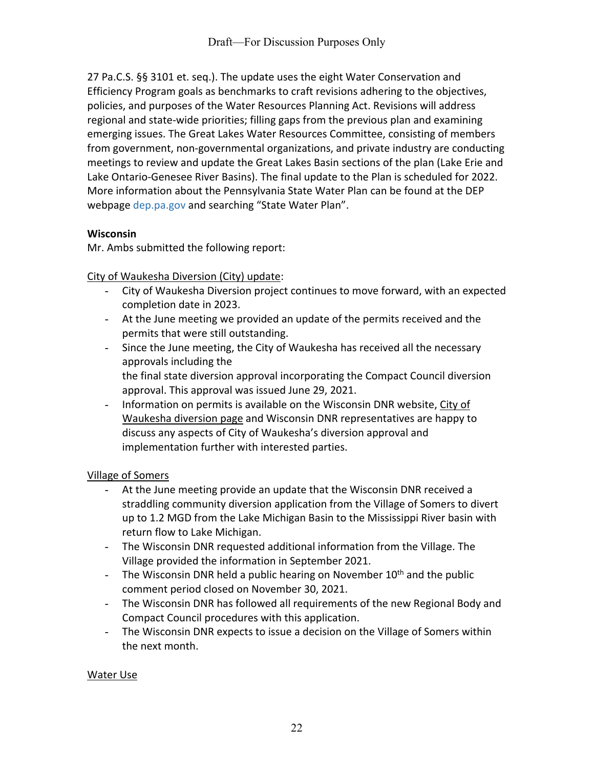27 Pa.C.S. §§ 3101 et. seq.). The update uses the eight Water Conservation and Efficiency Program goals as benchmarks to craft revisions adhering to the objectives, policies, and purposes of the Water Resources Planning Act. Revisions will address regional and state-wide priorities; filling gaps from the previous plan and examining emerging issues. The Great Lakes Water Resources Committee, consisting of members from government, non-governmental organizations, and private industry are conducting meetings to review and update the Great Lakes Basin sections of the plan (Lake Erie and Lake Ontario-Genesee River Basins). The final update to the Plan is scheduled for 2022. More information about the Pennsylvania State Water Plan can be found at the DEP webpage dep.pa.gov and searching "State Water Plan".

# **Wisconsin**

Mr. Ambs submitted the following report:

City of Waukesha Diversion (City) update:

- City of Waukesha Diversion project continues to move forward, with an expected completion date in 2023.
- At the June meeting we provided an update of the permits received and the permits that were still outstanding.
- Since the June meeting, the City of Waukesha has received all the necessary approvals including the

the final state diversion approval incorporating the Compact Council diversion approval. This approval was issued June 29, 2021.

- Information on permits is available on the Wisconsin DNR website, [City of](https://dnr.wi.gov/topic/EIA/waukeshadiversionapp.html)  [Waukesha diversion page](https://dnr.wi.gov/topic/EIA/waukeshadiversionapp.html) and Wisconsin DNR representatives are happy to discuss any aspects of City of Waukesha's diversion approval and implementation further with interested parties.

## Village of Somers

- At the June meeting provide an update that the Wisconsin DNR received a straddling community diversion application from the Village of Somers to divert up to 1.2 MGD from the Lake Michigan Basin to the Mississippi River basin with return flow to Lake Michigan.
- The Wisconsin DNR requested additional information from the Village. The Village provided the information in September 2021.
- The Wisconsin DNR held a public hearing on November  $10<sup>th</sup>$  and the public comment period closed on November 30, 2021.
- The Wisconsin DNR has followed all requirements of the new Regional Body and Compact Council procedures with this application.
- The Wisconsin DNR expects to issue a decision on the Village of Somers within the next month.

## Water Use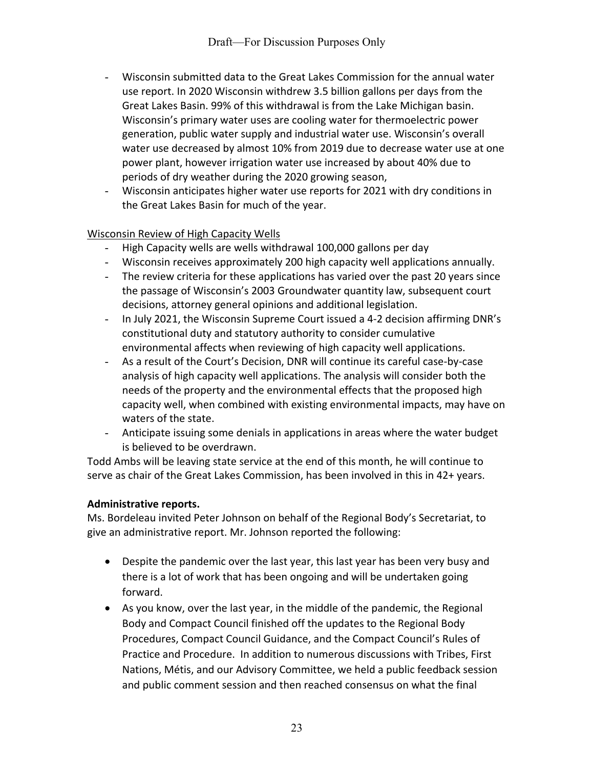- Wisconsin submitted data to the Great Lakes Commission for the annual water use report. In 2020 Wisconsin withdrew 3.5 billion gallons per days from the Great Lakes Basin. 99% of this withdrawal is from the Lake Michigan basin. Wisconsin's primary water uses are cooling water for thermoelectric power generation, public water supply and industrial water use. Wisconsin's overall water use decreased by almost 10% from 2019 due to decrease water use at one power plant, however irrigation water use increased by about 40% due to periods of dry weather during the 2020 growing season,
- Wisconsin anticipates higher water use reports for 2021 with dry conditions in the Great Lakes Basin for much of the year.

# Wisconsin Review of High Capacity Wells

- High Capacity wells are wells withdrawal 100,000 gallons per day
- Wisconsin receives approximately 200 high capacity well applications annually.
- The review criteria for these applications has varied over the past 20 years since the passage of Wisconsin's 2003 Groundwater quantity law, subsequent court decisions, attorney general opinions and additional legislation.
- In July 2021, the Wisconsin Supreme Court issued a 4-2 decision affirming DNR's constitutional duty and statutory authority to consider cumulative environmental affects when reviewing of high capacity well applications.
- As a result of the Court's Decision, DNR will continue its careful case-by-case analysis of high capacity well applications. The analysis will consider both the needs of the property and the environmental effects that the proposed high capacity well, when combined with existing environmental impacts, may have on waters of the state.
- Anticipate issuing some denials in applications in areas where the water budget is believed to be overdrawn.

Todd Ambs will be leaving state service at the end of this month, he will continue to serve as chair of the Great Lakes Commission, has been involved in this in 42+ years.

## **Administrative reports.**

Ms. Bordeleau invited Peter Johnson on behalf of the Regional Body's Secretariat, to give an administrative report. Mr. Johnson reported the following:

- Despite the pandemic over the last year, this last year has been very busy and there is a lot of work that has been ongoing and will be undertaken going forward.
- As you know, over the last year, in the middle of the pandemic, the Regional Body and Compact Council finished off the updates to the Regional Body Procedures, Compact Council Guidance, and the Compact Council's Rules of Practice and Procedure. In addition to numerous discussions with Tribes, First Nations, Métis, and our Advisory Committee, we held a public feedback session and public comment session and then reached consensus on what the final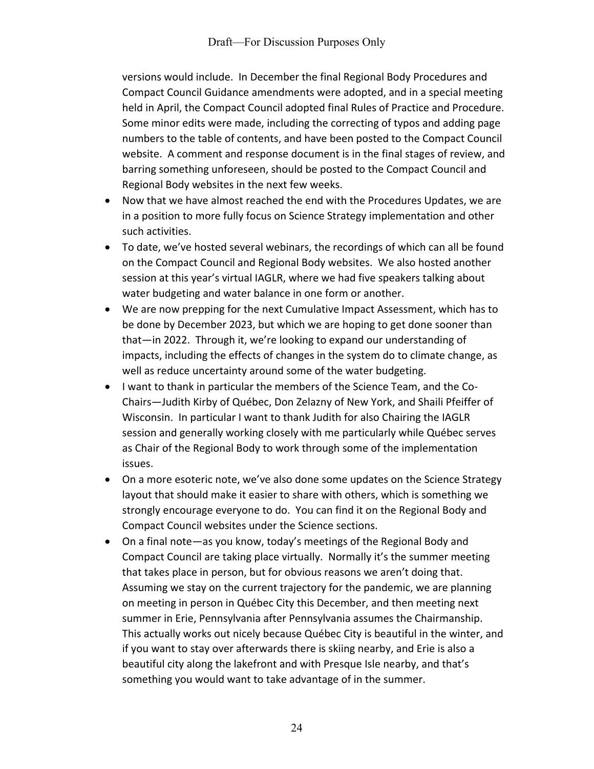versions would include. In December the final Regional Body Procedures and Compact Council Guidance amendments were adopted, and in a special meeting held in April, the Compact Council adopted final Rules of Practice and Procedure. Some minor edits were made, including the correcting of typos and adding page numbers to the table of contents, and have been posted to the Compact Council website. A comment and response document is in the final stages of review, and barring something unforeseen, should be posted to the Compact Council and Regional Body websites in the next few weeks.

- Now that we have almost reached the end with the Procedures Updates, we are in a position to more fully focus on Science Strategy implementation and other such activities.
- To date, we've hosted several webinars, the recordings of which can all be found on the Compact Council and Regional Body websites. We also hosted another session at this year's virtual IAGLR, where we had five speakers talking about water budgeting and water balance in one form or another.
- We are now prepping for the next Cumulative Impact Assessment, which has to be done by December 2023, but which we are hoping to get done sooner than that—in 2022. Through it, we're looking to expand our understanding of impacts, including the effects of changes in the system do to climate change, as well as reduce uncertainty around some of the water budgeting.
- I want to thank in particular the members of the Science Team, and the Co-Chairs—Judith Kirby of Québec, Don Zelazny of New York, and Shaili Pfeiffer of Wisconsin. In particular I want to thank Judith for also Chairing the IAGLR session and generally working closely with me particularly while Québec serves as Chair of the Regional Body to work through some of the implementation issues.
- On a more esoteric note, we've also done some updates on the Science Strategy layout that should make it easier to share with others, which is something we strongly encourage everyone to do. You can find it on the Regional Body and Compact Council websites under the Science sections.
- On a final note—as you know, today's meetings of the Regional Body and Compact Council are taking place virtually. Normally it's the summer meeting that takes place in person, but for obvious reasons we aren't doing that. Assuming we stay on the current trajectory for the pandemic, we are planning on meeting in person in Québec City this December, and then meeting next summer in Erie, Pennsylvania after Pennsylvania assumes the Chairmanship. This actually works out nicely because Québec City is beautiful in the winter, and if you want to stay over afterwards there is skiing nearby, and Erie is also a beautiful city along the lakefront and with Presque Isle nearby, and that's something you would want to take advantage of in the summer.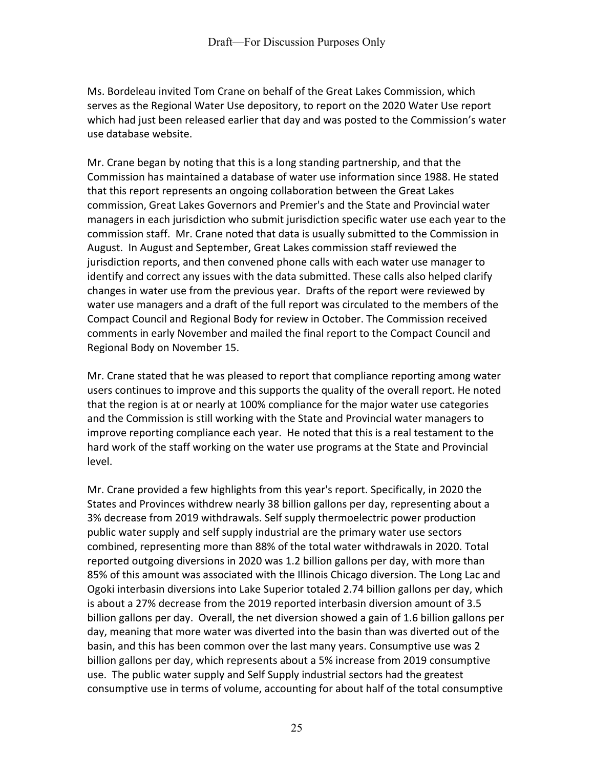Ms. Bordeleau invited Tom Crane on behalf of the Great Lakes Commission, which serves as the Regional Water Use depository, to report on the 2020 Water Use report which had just been released earlier that day and was posted to the Commission's water use database website.

Mr. Crane began by noting that this is a long standing partnership, and that the Commission has maintained a database of water use information since 1988. He stated that this report represents an ongoing collaboration between the Great Lakes commission, Great Lakes Governors and Premier's and the State and Provincial water managers in each jurisdiction who submit jurisdiction specific water use each year to the commission staff. Mr. Crane noted that data is usually submitted to the Commission in August. In August and September, Great Lakes commission staff reviewed the jurisdiction reports, and then convened phone calls with each water use manager to identify and correct any issues with the data submitted. These calls also helped clarify changes in water use from the previous year. Drafts of the report were reviewed by water use managers and a draft of the full report was circulated to the members of the Compact Council and Regional Body for review in October. The Commission received comments in early November and mailed the final report to the Compact Council and Regional Body on November 15.

Mr. Crane stated that he was pleased to report that compliance reporting among water users continues to improve and this supports the quality of the overall report. He noted that the region is at or nearly at 100% compliance for the major water use categories and the Commission is still working with the State and Provincial water managers to improve reporting compliance each year. He noted that this is a real testament to the hard work of the staff working on the water use programs at the State and Provincial level.

Mr. Crane provided a few highlights from this year's report. Specifically, in 2020 the States and Provinces withdrew nearly 38 billion gallons per day, representing about a 3% decrease from 2019 withdrawals. Self supply thermoelectric power production public water supply and self supply industrial are the primary water use sectors combined, representing more than 88% of the total water withdrawals in 2020. Total reported outgoing diversions in 2020 was 1.2 billion gallons per day, with more than 85% of this amount was associated with the Illinois Chicago diversion. The Long Lac and Ogoki interbasin diversions into Lake Superior totaled 2.74 billion gallons per day, which is about a 27% decrease from the 2019 reported interbasin diversion amount of 3.5 billion gallons per day. Overall, the net diversion showed a gain of 1.6 billion gallons per day, meaning that more water was diverted into the basin than was diverted out of the basin, and this has been common over the last many years. Consumptive use was 2 billion gallons per day, which represents about a 5% increase from 2019 consumptive use. The public water supply and Self Supply industrial sectors had the greatest consumptive use in terms of volume, accounting for about half of the total consumptive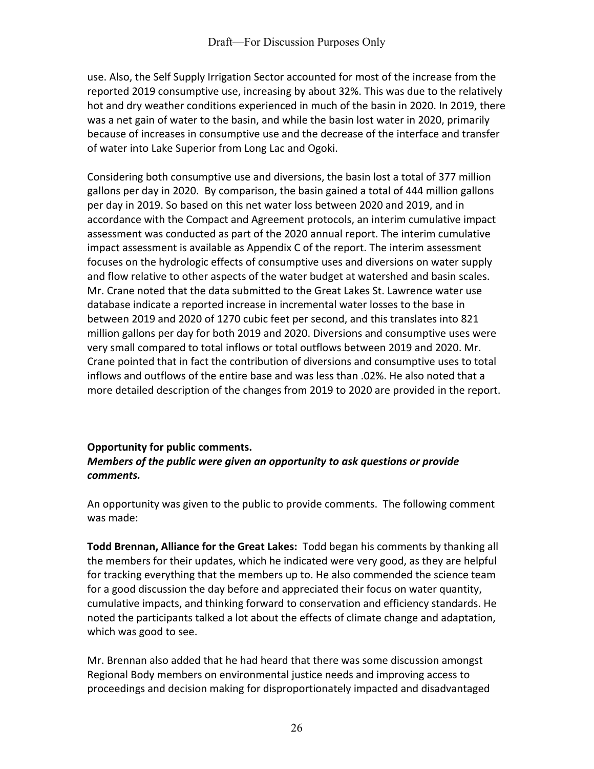use. Also, the Self Supply Irrigation Sector accounted for most of the increase from the reported 2019 consumptive use, increasing by about 32%. This was due to the relatively hot and dry weather conditions experienced in much of the basin in 2020. In 2019, there was a net gain of water to the basin, and while the basin lost water in 2020, primarily because of increases in consumptive use and the decrease of the interface and transfer of water into Lake Superior from Long Lac and Ogoki.

Considering both consumptive use and diversions, the basin lost a total of 377 million gallons per day in 2020. By comparison, the basin gained a total of 444 million gallons per day in 2019. So based on this net water loss between 2020 and 2019, and in accordance with the Compact and Agreement protocols, an interim cumulative impact assessment was conducted as part of the 2020 annual report. The interim cumulative impact assessment is available as Appendix C of the report. The interim assessment focuses on the hydrologic effects of consumptive uses and diversions on water supply and flow relative to other aspects of the water budget at watershed and basin scales. Mr. Crane noted that the data submitted to the Great Lakes St. Lawrence water use database indicate a reported increase in incremental water losses to the base in between 2019 and 2020 of 1270 cubic feet per second, and this translates into 821 million gallons per day for both 2019 and 2020. Diversions and consumptive uses were very small compared to total inflows or total outflows between 2019 and 2020. Mr. Crane pointed that in fact the contribution of diversions and consumptive uses to total inflows and outflows of the entire base and was less than .02%. He also noted that a more detailed description of the changes from 2019 to 2020 are provided in the report.

## **Opportunity for public comments.** *Members of the public were given an opportunity to ask questions or provide comments.*

An opportunity was given to the public to provide comments. The following comment was made:

**Todd Brennan, Alliance for the Great Lakes:** Todd began his comments by thanking all the members for their updates, which he indicated were very good, as they are helpful for tracking everything that the members up to. He also commended the science team for a good discussion the day before and appreciated their focus on water quantity, cumulative impacts, and thinking forward to conservation and efficiency standards. He noted the participants talked a lot about the effects of climate change and adaptation, which was good to see.

Mr. Brennan also added that he had heard that there was some discussion amongst Regional Body members on environmental justice needs and improving access to proceedings and decision making for disproportionately impacted and disadvantaged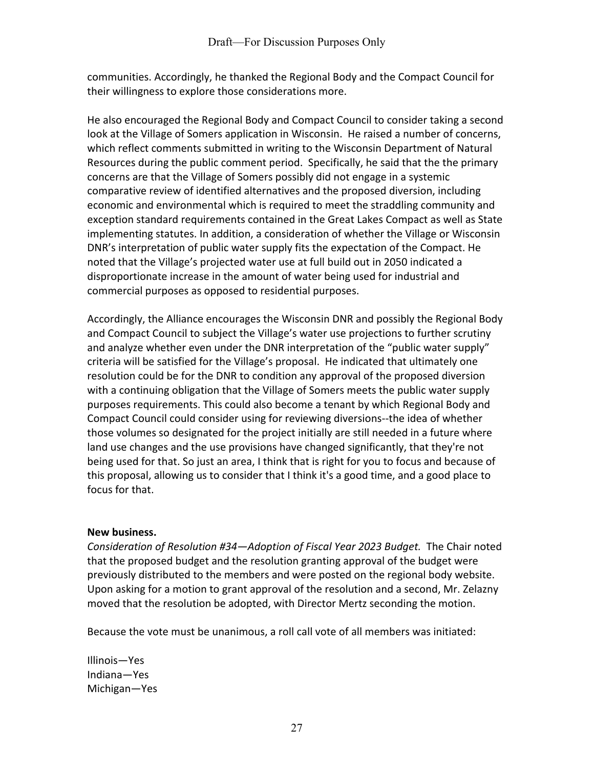communities. Accordingly, he thanked the Regional Body and the Compact Council for their willingness to explore those considerations more.

He also encouraged the Regional Body and Compact Council to consider taking a second look at the Village of Somers application in Wisconsin. He raised a number of concerns, which reflect comments submitted in writing to the Wisconsin Department of Natural Resources during the public comment period. Specifically, he said that the the primary concerns are that the Village of Somers possibly did not engage in a systemic comparative review of identified alternatives and the proposed diversion, including economic and environmental which is required to meet the straddling community and exception standard requirements contained in the Great Lakes Compact as well as State implementing statutes. In addition, a consideration of whether the Village or Wisconsin DNR's interpretation of public water supply fits the expectation of the Compact. He noted that the Village's projected water use at full build out in 2050 indicated a disproportionate increase in the amount of water being used for industrial and commercial purposes as opposed to residential purposes.

Accordingly, the Alliance encourages the Wisconsin DNR and possibly the Regional Body and Compact Council to subject the Village's water use projections to further scrutiny and analyze whether even under the DNR interpretation of the "public water supply" criteria will be satisfied for the Village's proposal. He indicated that ultimately one resolution could be for the DNR to condition any approval of the proposed diversion with a continuing obligation that the Village of Somers meets the public water supply purposes requirements. This could also become a tenant by which Regional Body and Compact Council could consider using for reviewing diversions--the idea of whether those volumes so designated for the project initially are still needed in a future where land use changes and the use provisions have changed significantly, that they're not being used for that. So just an area, I think that is right for you to focus and because of this proposal, allowing us to consider that I think it's a good time, and a good place to focus for that.

## **New business.**

*Consideration of Resolution #34—Adoption of Fiscal Year 2023 Budget.* The Chair noted that the proposed budget and the resolution granting approval of the budget were previously distributed to the members and were posted on the regional body website. Upon asking for a motion to grant approval of the resolution and a second, Mr. Zelazny moved that the resolution be adopted, with Director Mertz seconding the motion.

Because the vote must be unanimous, a roll call vote of all members was initiated:

Illinois—Yes Indiana—Yes Michigan—Yes